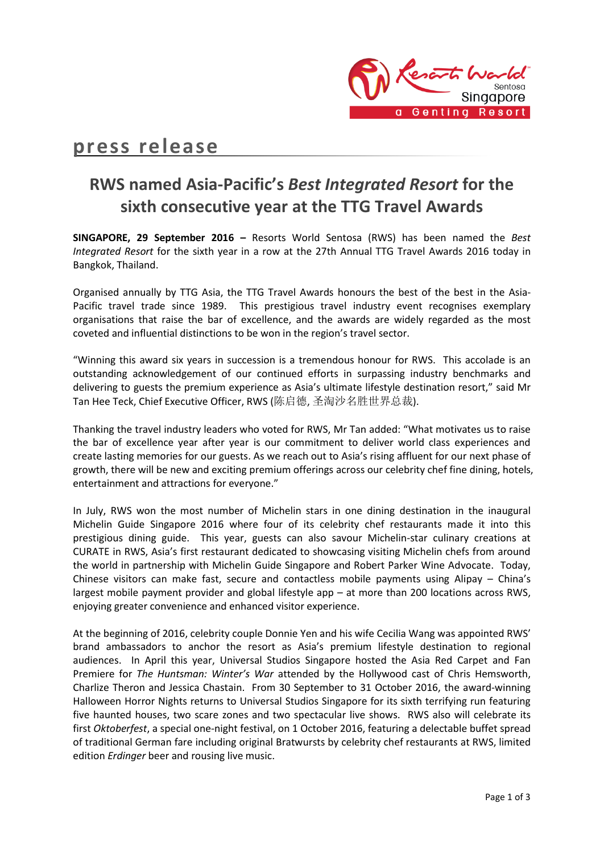

# **press release**

# **RWS named Asia-Pacific's** *Best Integrated Resort* **for the sixth consecutive year at the TTG Travel Awards**

**SINGAPORE, 29 September 2016 –** Resorts World Sentosa (RWS) has been named the *Best Integrated Resort* for the sixth year in a row at the 27th Annual TTG Travel Awards 2016 today in Bangkok, Thailand.

Organised annually by TTG Asia, the TTG Travel Awards honours the best of the best in the Asia-Pacific travel trade since 1989. This prestigious travel industry event recognises exemplary organisations that raise the bar of excellence, and the awards are widely regarded as the most coveted and influential distinctions to be won in the region's travel sector.

"Winning this award six years in succession is a tremendous honour for RWS. This accolade is an outstanding acknowledgement of our continued efforts in surpassing industry benchmarks and delivering to guests the premium experience as Asia's ultimate lifestyle destination resort," said Mr Tan Hee Teck, Chief Executive Officer, RWS (陈启德, 圣淘沙名胜世界总裁).

Thanking the travel industry leaders who voted for RWS, Mr Tan added: "What motivates us to raise the bar of excellence year after year is our commitment to deliver world class experiences and create lasting memories for our guests. As we reach out to Asia's rising affluent for our next phase of growth, there will be new and exciting premium offerings across our celebrity chef fine dining, hotels, entertainment and attractions for everyone."

In July, RWS won the most number of Michelin stars in one dining destination in the inaugural Michelin Guide Singapore 2016 where four of its celebrity chef restaurants made it into this prestigious dining guide. This year, guests can also savour Michelin-star culinary creations at CURATE in RWS, Asia's first restaurant dedicated to showcasing visiting Michelin chefs from around the world in partnership with Michelin Guide Singapore and Robert Parker Wine Advocate. Today, Chinese visitors can make fast, secure and contactless mobile payments using Alipay – China's largest mobile payment provider and global lifestyle app – at more than 200 locations across RWS, enjoying greater convenience and enhanced visitor experience.

At the beginning of 2016, celebrity couple Donnie Yen and his wife Cecilia Wang was appointed RWS' brand ambassadors to anchor the resort as Asia's premium lifestyle destination to regional audiences. In April this year, Universal Studios Singapore hosted the Asia Red Carpet and Fan Premiere for *The Huntsman: Winter's War* attended by the Hollywood cast of Chris Hemsworth, Charlize Theron and Jessica Chastain. From 30 September to 31 October 2016, the award-winning Halloween Horror Nights returns to Universal Studios Singapore for its sixth terrifying run featuring five haunted houses, two scare zones and two spectacular live shows. RWS also will celebrate its first *Oktoberfest*, a special one-night festival, on 1 October 2016, featuring a delectable buffet spread of traditional German fare including original Bratwursts by celebrity chef restaurants at RWS, limited edition *Erdinger* beer and rousing live music.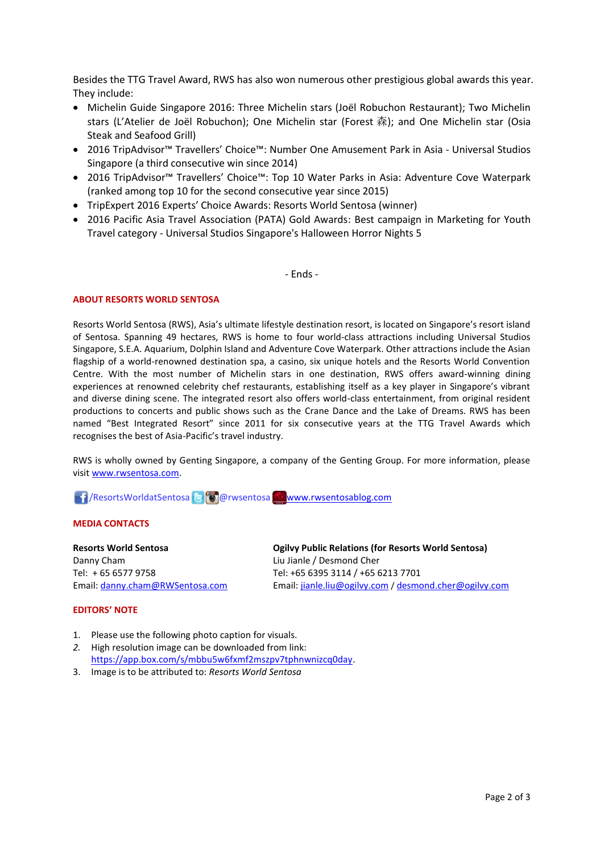Besides the TTG Travel Award, RWS has also won numerous other prestigious global awards this year. They include:

- Michelin Guide Singapore 2016: Three Michelin stars (Joël Robuchon Restaurant); Two Michelin stars (L'Atelier de Joël Robuchon); One Michelin star (Forest 森); and One Michelin star (Osia Steak and Seafood Grill)
- 2016 TripAdvisor™ Travellers' Choice™: Number One Amusement Park in Asia Universal Studios Singapore (a third consecutive win since 2014)
- 2016 TripAdvisor™ Travellers' Choice™: Top 10 Water Parks in Asia: Adventure Cove Waterpark (ranked among top 10 for the second consecutive year since 2015)
- TripExpert 2016 Experts' Choice Awards: Resorts World Sentosa (winner)
- 2016 Pacific Asia Travel Association (PATA) Gold Awards: Best campaign in Marketing for Youth Travel category - Universal Studios Singapore's Halloween Horror Nights 5

- Ends -

### **ABOUT RESORTS WORLD SENTOSA**

Resorts World Sentosa (RWS), Asia's ultimate lifestyle destination resort, is located on Singapore's resort island of Sentosa. Spanning 49 hectares, RWS is home to four world-class attractions including Universal Studios Singapore, S.E.A. Aquarium, Dolphin Island and Adventure Cove Waterpark. Other attractions include the Asian flagship of a world-renowned destination spa, a casino, six unique hotels and the Resorts World Convention Centre. With the most number of Michelin stars in one destination, RWS offers award-winning dining experiences at renowned celebrity chef restaurants, establishing itself as a key player in Singapore's vibrant and diverse dining scene. The integrated resort also offers world-class entertainment, from original resident productions to concerts and public shows such as the Crane Dance and the Lake of Dreams. RWS has been named "Best Integrated Resort" since 2011 for six consecutive years at the TTG Travel Awards which recognises the best of Asia-Pacific's travel industry.

RWS is wholly owned by Genting Singapore, a company of the Genting Group. For more information, please visi[t www.rwsentosa.com.](http://www.rwsentosa.com/)

**1 / ResortsWorldatSentosa & @ @rwsentosa [www.rwsentosablog.com](http://www.rwsentosablog.com/)** 

### **MEDIA CONTACTS**

**Resorts World Sentosa** Danny Cham Tel: + 65 6577 9758 Email: [danny.cham@RWSentosa.com](mailto:danny.cham@RWSentosa.com) **Ogilvy Public Relations (for Resorts World Sentosa)** Liu Jianle / Desmond Cher Tel: +65 6395 3114 / +65 6213 7701 Email[: jianle.liu@ogilvy.com](mailto:jianle.liu@ogilvy.com) / [desmond.cher@ogilvy.com](mailto:desmond.cher@ogilvy.com)

### **EDITORS' NOTE**

- 1. Please use the following photo caption for visuals.
- *2.* High resolution image can be downloaded from link: [https://app.box.com/s/mbbu5w6fxmf2mszpv7tphnwnizcq0day.](https://app.box.com/s/mbbu5w6fxmf2mszpv7tphnwnizcq0day)
- 3. Image is to be attributed to: *Resorts World Sentosa*